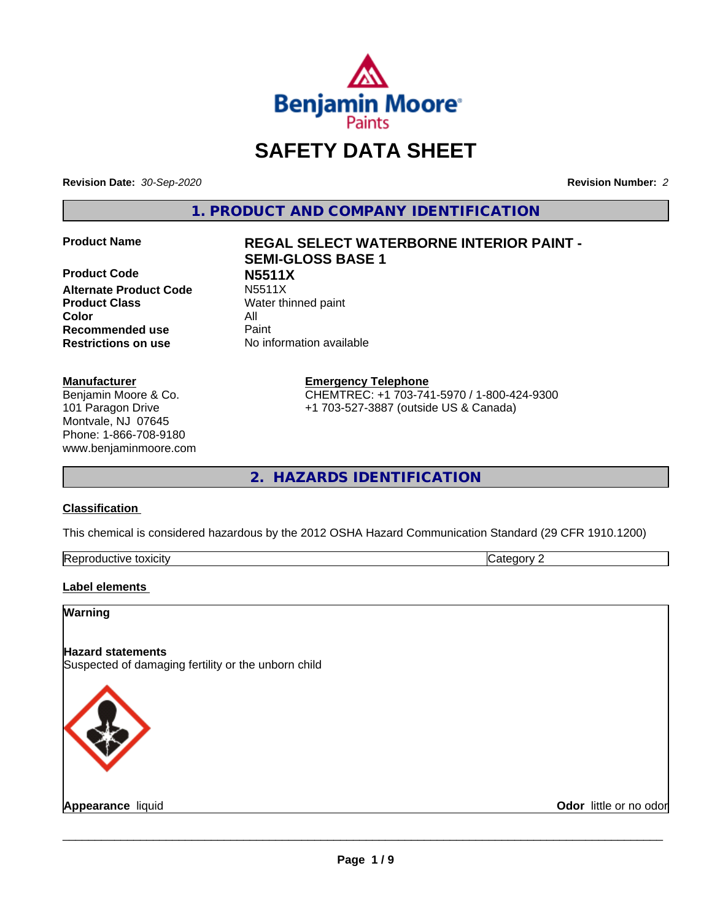

# **SAFETY DATA SHEET**

**Revision Date:** *30-Sep-2020* **Revision Number:** *2*

**1. PRODUCT AND COMPANY IDENTIFICATION**

**Product Code N5511X Alternate Product Code Product Class** Water thinned paint **Color** All **Recommended use** Paint **Restrictions on use** No information available

# **Manufacturer**

Benjamin Moore & Co. 101 Paragon Drive Montvale, NJ 07645 Phone: 1-866-708-9180 www.benjaminmoore.com

# **Product Name REGAL SELECT WATERBORNE INTERIOR PAINT - SEMI-GLOSS BASE 1**

**Emergency Telephone**

CHEMTREC: +1 703-741-5970 / 1-800-424-9300 +1 703-527-3887 (outside US & Canada)

**2. HAZARDS IDENTIFICATION**

# **Classification**

This chemical is considered hazardous by the 2012 OSHA Hazard Communication Standard (29 CFR 1910.1200)

| -<br>Repr<br>toxicity | - - -<br>. זרי<br>.<br> |
|-----------------------|-------------------------|

# **Label elements**

# **Warning**

# **Hazard statements**

Suspected of damaging fertility or the unborn child



**Appearance** liquid **Contract Contract Contract Contract Contract Contract Contract Contract Contract Contract Contract Contract Contract Contract Contract Contract Contract Contract Contract Contract Contract Contract Con**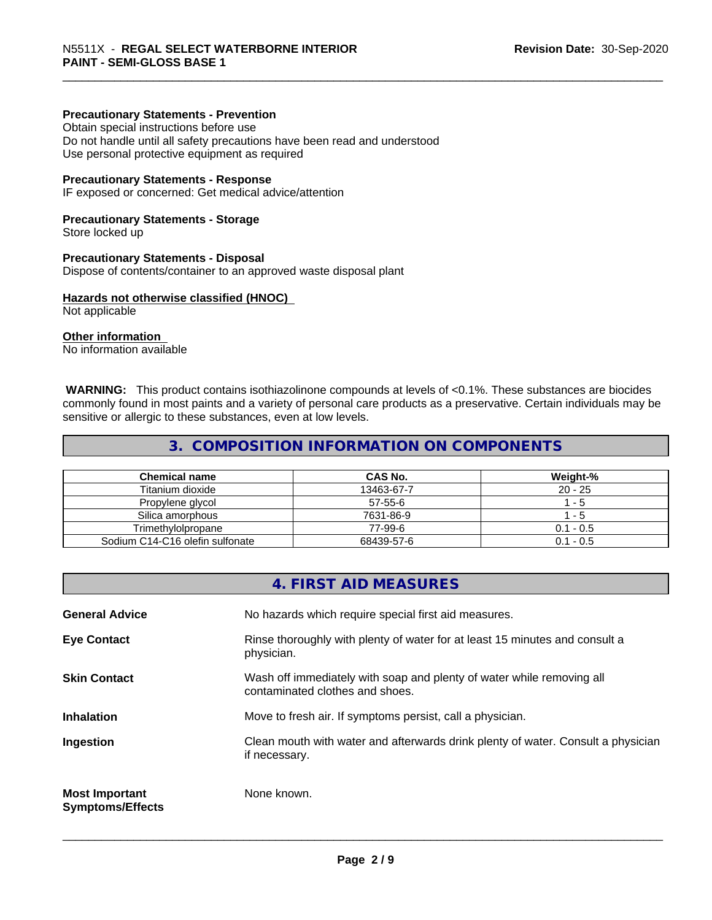# **Precautionary Statements - Prevention**

Obtain special instructions before use Do not handle until all safety precautions have been read and understood Use personal protective equipment as required

#### **Precautionary Statements - Response**

IF exposed or concerned: Get medical advice/attention

#### **Precautionary Statements - Storage**

Store locked up

#### **Precautionary Statements - Disposal**

Dispose of contents/container to an approved waste disposal plant

#### **Hazards not otherwise classified (HNOC)**

Not applicable

# **Other information**

No information available

 **WARNING:** This product contains isothiazolinone compounds at levels of <0.1%. These substances are biocides commonly found in most paints and a variety of personal care products as a preservative. Certain individuals may be sensitive or allergic to these substances, even at low levels.

# **3. COMPOSITION INFORMATION ON COMPONENTS**

| <b>Chemical name</b>            | CAS No.    | Weight-%    |
|---------------------------------|------------|-------------|
| Titanium dioxide                | 13463-67-7 | $20 - 25$   |
| Propylene glycol                | 57-55-6    | - 5         |
| Silica amorphous                | 7631-86-9  | - 5         |
| Trimethvlolpropane              | 77-99-6    | $0.1 - 0.5$ |
| Sodium C14-C16 olefin sulfonate | 68439-57-6 | $0.1 - 0.5$ |

# **4. FIRST AID MEASURES**

| <b>General Advice</b>                            | No hazards which require special first aid measures.                                                     |
|--------------------------------------------------|----------------------------------------------------------------------------------------------------------|
| <b>Eye Contact</b>                               | Rinse thoroughly with plenty of water for at least 15 minutes and consult a<br>physician.                |
| <b>Skin Contact</b>                              | Wash off immediately with soap and plenty of water while removing all<br>contaminated clothes and shoes. |
| <b>Inhalation</b>                                | Move to fresh air. If symptoms persist, call a physician.                                                |
| Ingestion                                        | Clean mouth with water and afterwards drink plenty of water. Consult a physician<br>if necessary.        |
| <b>Most Important</b><br><b>Symptoms/Effects</b> | None known.                                                                                              |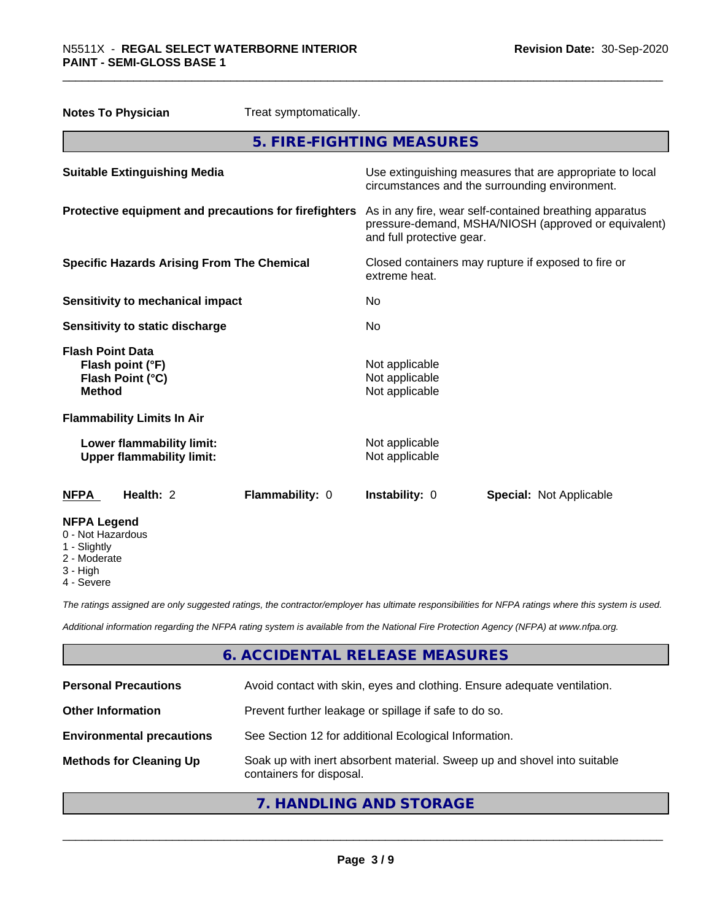| Treat symptomatically.<br><b>Notes To Physician</b>                              |                                                                                                                                              |
|----------------------------------------------------------------------------------|----------------------------------------------------------------------------------------------------------------------------------------------|
|                                                                                  | 5. FIRE-FIGHTING MEASURES                                                                                                                    |
| <b>Suitable Extinguishing Media</b>                                              | Use extinguishing measures that are appropriate to local<br>circumstances and the surrounding environment.                                   |
| Protective equipment and precautions for firefighters                            | As in any fire, wear self-contained breathing apparatus<br>pressure-demand, MSHA/NIOSH (approved or equivalent)<br>and full protective gear. |
| <b>Specific Hazards Arising From The Chemical</b>                                | Closed containers may rupture if exposed to fire or<br>extreme heat.                                                                         |
| <b>Sensitivity to mechanical impact</b>                                          | No.                                                                                                                                          |
| Sensitivity to static discharge                                                  | No                                                                                                                                           |
| <b>Flash Point Data</b><br>Flash point (°F)<br>Flash Point (°C)<br><b>Method</b> | Not applicable<br>Not applicable<br>Not applicable                                                                                           |
| <b>Flammability Limits In Air</b>                                                |                                                                                                                                              |
| Lower flammability limit:<br><b>Upper flammability limit:</b>                    | Not applicable<br>Not applicable                                                                                                             |
| Health: 2<br>Flammability: 0<br><b>NFPA</b>                                      | Instability: 0<br><b>Special: Not Applicable</b>                                                                                             |
| <b>NFPA Legend</b><br>0 - Not Hazardous<br>1 - Slightly<br>$2 - 0$               |                                                                                                                                              |

- 2 Moderate
- 3 High
- 4 Severe

*The ratings assigned are only suggested ratings, the contractor/employer has ultimate responsibilities for NFPA ratings where this system is used.*

*Additional information regarding the NFPA rating system is available from the National Fire Protection Agency (NFPA) at www.nfpa.org.*

# **6. ACCIDENTAL RELEASE MEASURES**

| <b>Personal Precautions</b>      | Avoid contact with skin, eyes and clothing. Ensure adequate ventilation.                             |
|----------------------------------|------------------------------------------------------------------------------------------------------|
| <b>Other Information</b>         | Prevent further leakage or spillage if safe to do so.                                                |
| <b>Environmental precautions</b> | See Section 12 for additional Ecological Information.                                                |
| <b>Methods for Cleaning Up</b>   | Soak up with inert absorbent material. Sweep up and shovel into suitable<br>containers for disposal. |

**7. HANDLING AND STORAGE**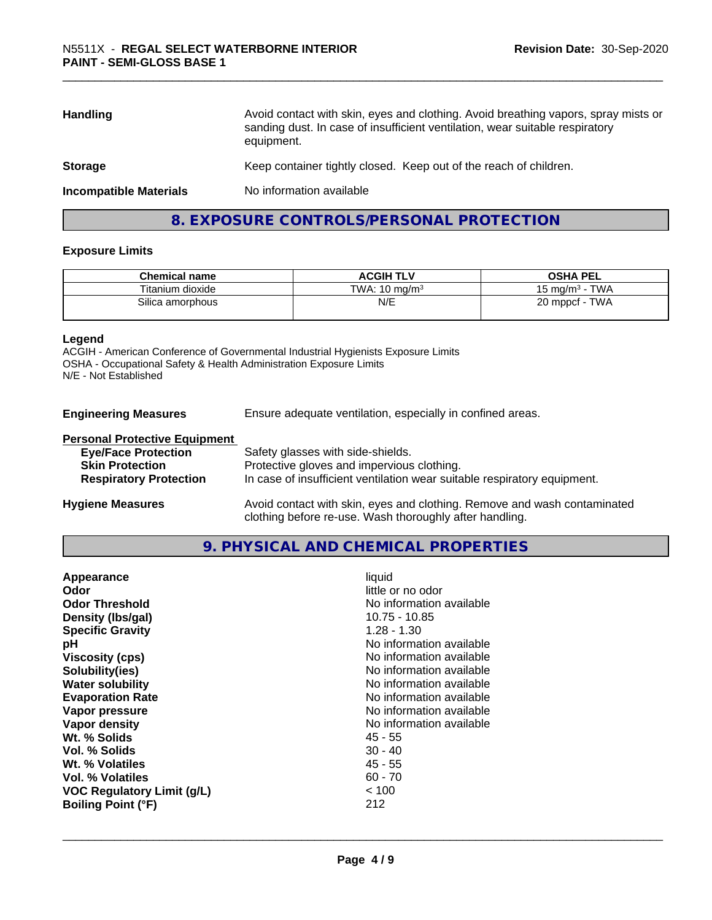| <b>Handling</b>               | Avoid contact with skin, eyes and clothing. Avoid breathing vapors, spray mists or<br>sanding dust. In case of insufficient ventilation, wear suitable respiratory<br>equipment. |
|-------------------------------|----------------------------------------------------------------------------------------------------------------------------------------------------------------------------------|
| <b>Storage</b>                | Keep container tightly closed. Keep out of the reach of children.                                                                                                                |
| <b>Incompatible Materials</b> | No information available                                                                                                                                                         |
|                               |                                                                                                                                                                                  |

# **8. EXPOSURE CONTROLS/PERSONAL PROTECTION**

# **Exposure Limits**

| <b>Chemical name</b> | <b>ACGIH TLV</b>         | <b>OSHA PEL</b>           |
|----------------------|--------------------------|---------------------------|
| Titanium dioxide     | TWA: $10 \text{ ma/m}^3$ | <b>TWA</b><br>15 mg/m $3$ |
| Silica amorphous     | N/E                      | TWA<br>$20$ mppcf -       |

#### **Legend**

ACGIH - American Conference of Governmental Industrial Hygienists Exposure Limits OSHA - Occupational Safety & Health Administration Exposure Limits N/E - Not Established

| <b>Engineering Measures</b> | Ensure adequate ventilation, especially in confined areas. |
|-----------------------------|------------------------------------------------------------|
|-----------------------------|------------------------------------------------------------|

#### **Personal Protective Equipment**

| <b>Eye/Face Protection</b>    | Safety glasses with side-shields.                                        |
|-------------------------------|--------------------------------------------------------------------------|
| <b>Skin Protection</b>        | Protective gloves and impervious clothing.                               |
| <b>Respiratory Protection</b> | In case of insufficient ventilation wear suitable respiratory equipment. |
| <b>Hygiene Measures</b>       | Avoid contact with skin, eyes and clothing. Remove and wash contaminated |

# **9. PHYSICAL AND CHEMICAL PROPERTIES**

clothing before re-use. Wash thoroughly after handling.

| Appearance                        | liquid                   |
|-----------------------------------|--------------------------|
| Odor                              | little or no odor        |
| <b>Odor Threshold</b>             | No information available |
| Density (Ibs/gal)                 | 10.75 - 10.85            |
| <b>Specific Gravity</b>           | $1.28 - 1.30$            |
| рH                                | No information available |
| <b>Viscosity (cps)</b>            | No information available |
| Solubility(ies)                   | No information available |
| <b>Water solubility</b>           | No information available |
| <b>Evaporation Rate</b>           | No information available |
| Vapor pressure                    | No information available |
| Vapor density                     | No information available |
| Wt. % Solids                      | 45 - 55                  |
| Vol. % Solids                     | $30 - 40$                |
| Wt. % Volatiles                   | $45 - 55$                |
| <b>Vol. % Volatiles</b>           | $60 - 70$                |
| <b>VOC Regulatory Limit (g/L)</b> | < 100                    |
| <b>Boiling Point (°F)</b>         | 212                      |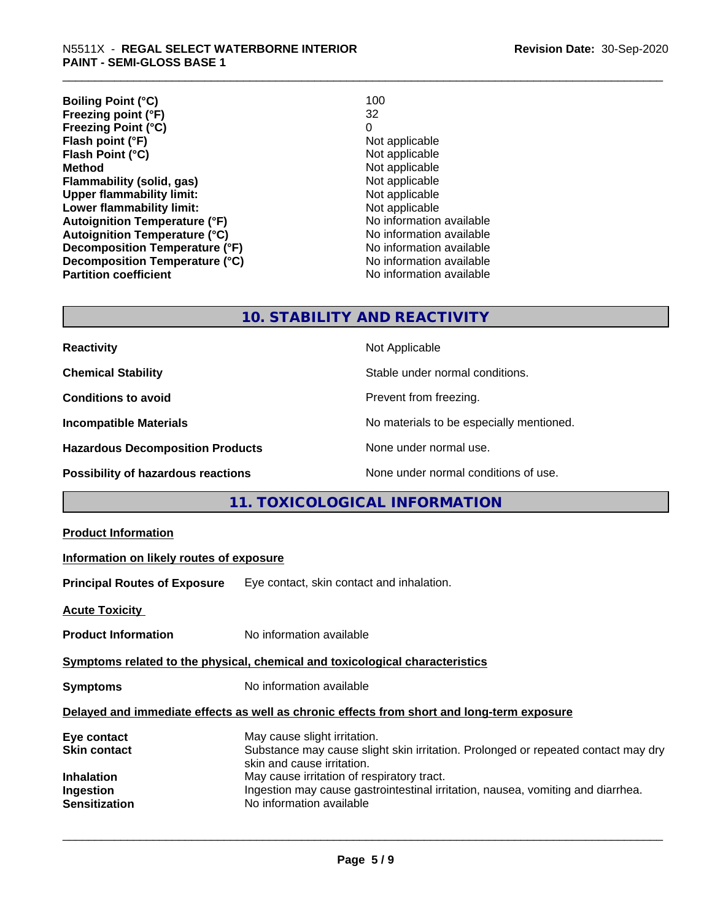| <b>Boiling Point (°C)</b>            | 100                      |
|--------------------------------------|--------------------------|
| Freezing point (°F)                  | 32                       |
| <b>Freezing Point (°C)</b>           | 0                        |
| Flash point (°F)                     | Not applicable           |
| Flash Point (°C)                     | Not applicable           |
| <b>Method</b>                        | Not applicable           |
| Flammability (solid, gas)            | Not applicable           |
| <b>Upper flammability limit:</b>     | Not applicable           |
| Lower flammability limit:            | Not applicable           |
| <b>Autoignition Temperature (°F)</b> | No information available |
| <b>Autoignition Temperature (°C)</b> | No information available |
| Decomposition Temperature (°F)       | No information available |
| Decomposition Temperature (°C)       | No information available |
| <b>Partition coefficient</b>         | No information available |

# **10. STABILITY AND REACTIVITY**

| <b>Reactivity</b>                         | Not Applicable                           |
|-------------------------------------------|------------------------------------------|
| <b>Chemical Stability</b>                 | Stable under normal conditions.          |
| <b>Conditions to avoid</b>                | Prevent from freezing.                   |
| <b>Incompatible Materials</b>             | No materials to be especially mentioned. |
| <b>Hazardous Decomposition Products</b>   | None under normal use.                   |
| <b>Possibility of hazardous reactions</b> | None under normal conditions of use.     |

# **11. TOXICOLOGICAL INFORMATION**

| <b>Product Information</b>                                                                 |                                                                                                                                                                                               |  |  |
|--------------------------------------------------------------------------------------------|-----------------------------------------------------------------------------------------------------------------------------------------------------------------------------------------------|--|--|
| Information on likely routes of exposure                                                   |                                                                                                                                                                                               |  |  |
| <b>Principal Routes of Exposure</b>                                                        | Eye contact, skin contact and inhalation.                                                                                                                                                     |  |  |
| <b>Acute Toxicity</b>                                                                      |                                                                                                                                                                                               |  |  |
| <b>Product Information</b>                                                                 | No information available                                                                                                                                                                      |  |  |
| Symptoms related to the physical, chemical and toxicological characteristics               |                                                                                                                                                                                               |  |  |
| <b>Symptoms</b>                                                                            | No information available                                                                                                                                                                      |  |  |
| Delayed and immediate effects as well as chronic effects from short and long-term exposure |                                                                                                                                                                                               |  |  |
| Eye contact<br><b>Skin contact</b><br><b>Inhalation</b>                                    | May cause slight irritation.<br>Substance may cause slight skin irritation. Prolonged or repeated contact may dry<br>skin and cause irritation.<br>May cause irritation of respiratory tract. |  |  |
| Ingestion<br><b>Sensitization</b>                                                          | Ingestion may cause gastrointestinal irritation, nausea, vomiting and diarrhea.<br>No information available                                                                                   |  |  |
|                                                                                            |                                                                                                                                                                                               |  |  |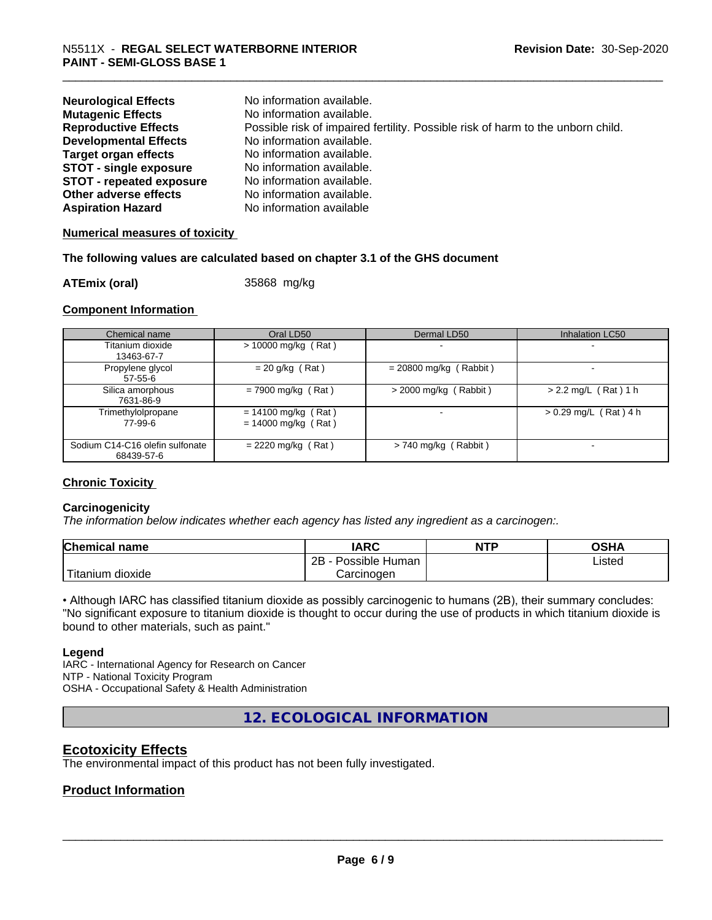| <b>Neurological Effects</b>     | No information available.                                                       |
|---------------------------------|---------------------------------------------------------------------------------|
| <b>Mutagenic Effects</b>        | No information available.                                                       |
| <b>Reproductive Effects</b>     | Possible risk of impaired fertility. Possible risk of harm to the unborn child. |
| <b>Developmental Effects</b>    | No information available.                                                       |
| <b>Target organ effects</b>     | No information available.                                                       |
| <b>STOT - single exposure</b>   | No information available.                                                       |
| <b>STOT - repeated exposure</b> | No information available.                                                       |
| Other adverse effects           | No information available.                                                       |
| <b>Aspiration Hazard</b>        | No information available                                                        |

# **Numerical measures of toxicity**

# **The following values are calculated based on chapter 3.1 of the GHS document**

**ATEmix (oral)** 35868 mg/kg

# **Component Information**

| Chemical name                                 | Oral LD50                                      | Dermal LD50              | Inhalation LC50         |
|-----------------------------------------------|------------------------------------------------|--------------------------|-------------------------|
| Titanium dioxide<br>13463-67-7                | $> 10000$ mg/kg (Rat)                          |                          |                         |
| Propylene glycol<br>57-55-6                   | $= 20$ g/kg (Rat)                              | $= 20800$ mg/kg (Rabbit) |                         |
| Silica amorphous<br>7631-86-9                 | $= 7900$ mg/kg (Rat)                           | $>$ 2000 mg/kg (Rabbit)  | $> 2.2$ mg/L (Rat) 1 h  |
| Trimethylolpropane<br>77-99-6                 | $= 14100$ mg/kg (Rat)<br>$= 14000$ mg/kg (Rat) |                          | $> 0.29$ mg/L (Rat) 4 h |
| Sodium C14-C16 olefin sulfonate<br>68439-57-6 | $= 2220$ mg/kg (Rat)                           | $> 740$ mg/kg (Rabbit)   |                         |

# **Chronic Toxicity**

# **Carcinogenicity**

*The information below indicateswhether each agency has listed any ingredient as a carcinogen:.*

| <b>Chemical name</b>   | <b>IARC</b>                    | <b>NTP</b> | <b>OSHA</b> |
|------------------------|--------------------------------|------------|-------------|
|                        | .<br>2B<br>Possible<br>Human - |            | Listed<br>. |
| m dioxide<br>l itanıum | Carcinoɑen                     |            |             |

• Although IARC has classified titanium dioxide as possibly carcinogenic to humans (2B), their summary concludes: "No significant exposure to titanium dioxide is thought to occur during the use of products in which titanium dioxide is bound to other materials, such as paint."

# **Legend**

IARC - International Agency for Research on Cancer NTP - National Toxicity Program OSHA - Occupational Safety & Health Administration

**12. ECOLOGICAL INFORMATION**

# **Ecotoxicity Effects**

The environmental impact of this product has not been fully investigated.

# **Product Information**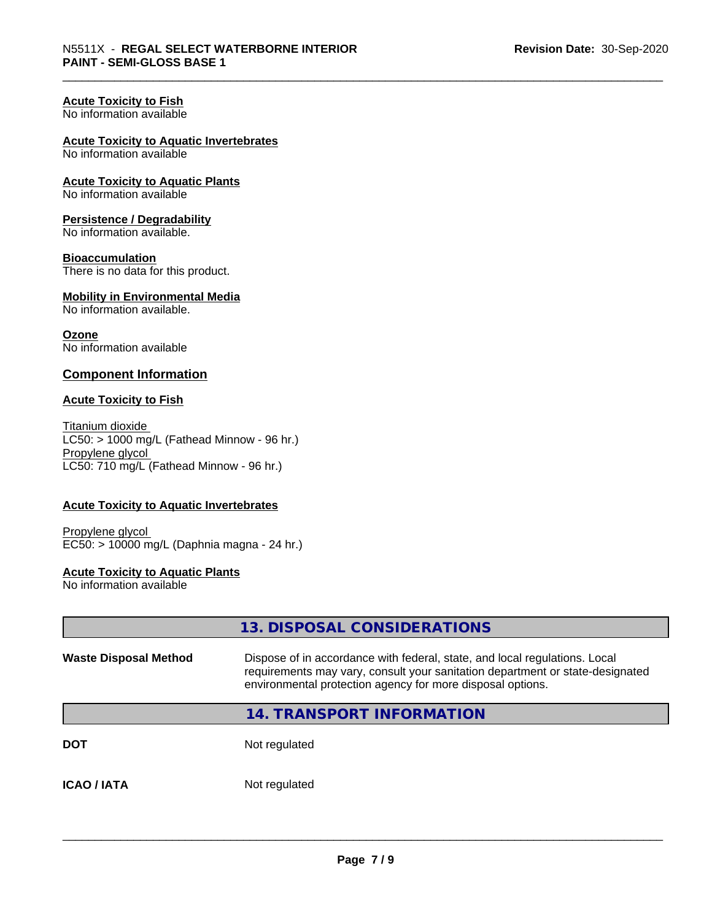# **Acute Toxicity to Fish**

No information available

# **Acute Toxicity to Aquatic Invertebrates**

No information available

#### **Acute Toxicity to Aquatic Plants** No information available

**Persistence / Degradability**

No information available.

# **Bioaccumulation**

There is no data for this product.

#### **Mobility in Environmental Media** No information available.

**Ozone** No information available

# **Component Information**

# **Acute Toxicity to Fish**

Titanium dioxide  $LC50:$  > 1000 mg/L (Fathead Minnow - 96 hr.) Propylene glycol LC50: 710 mg/L (Fathead Minnow - 96 hr.)

# **Acute Toxicity to Aquatic Invertebrates**

Propylene glycol EC50: > 10000 mg/L (Daphnia magna - 24 hr.)

# **Acute Toxicity to Aquatic Plants**

No information available

|                              | 13. DISPOSAL CONSIDERATIONS                                                                                                                                                                                               |
|------------------------------|---------------------------------------------------------------------------------------------------------------------------------------------------------------------------------------------------------------------------|
| <b>Waste Disposal Method</b> | Dispose of in accordance with federal, state, and local regulations. Local<br>requirements may vary, consult your sanitation department or state-designated<br>environmental protection agency for more disposal options. |
|                              | <b>14. TRANSPORT INFORMATION</b>                                                                                                                                                                                          |
| <b>DOT</b>                   | Not regulated                                                                                                                                                                                                             |
| <b>ICAO / IATA</b>           | Not regulated                                                                                                                                                                                                             |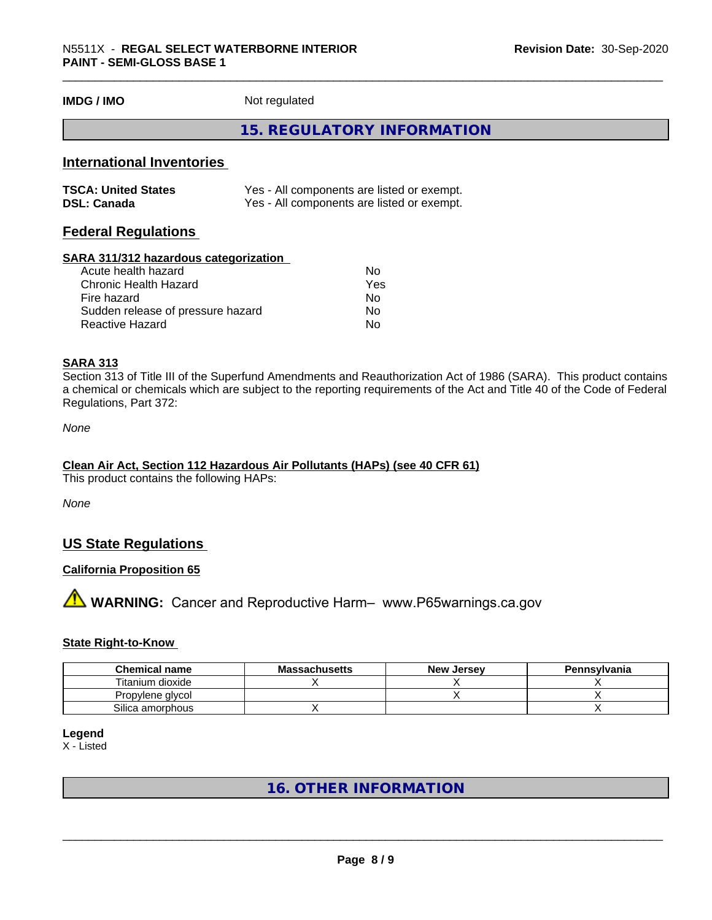**IMDG / IMO** Not regulated

# **15. REGULATORY INFORMATION**

# **International Inventories**

| <b>TSCA: United States</b> | Yes - All components are listed or exempt. |
|----------------------------|--------------------------------------------|
| <b>DSL: Canada</b>         | Yes - All components are listed or exempt. |

# **Federal Regulations**

#### **SARA 311/312 hazardous categorization**

| Acute health hazard               | No  |
|-----------------------------------|-----|
| Chronic Health Hazard             | Yes |
| Fire hazard                       | N٥  |
| Sudden release of pressure hazard | Nο  |
| Reactive Hazard                   | N٥  |

# **SARA 313**

Section 313 of Title III of the Superfund Amendments and Reauthorization Act of 1986 (SARA). This product contains a chemical or chemicals which are subject to the reporting requirements of the Act and Title 40 of the Code of Federal Regulations, Part 372:

*None*

# **Clean Air Act,Section 112 Hazardous Air Pollutants (HAPs) (see 40 CFR 61)**

This product contains the following HAPs:

*None*

# **US State Regulations**

# **California Proposition 65**

# **AVIMARNING:** Cancer and Reproductive Harm– www.P65warnings.ca.gov

# **State Right-to-Know**

| <b>Chemical name</b> | <b>Massachusetts</b> | <b>New Jersey</b> | Pennsylvania |
|----------------------|----------------------|-------------------|--------------|
| Titanium dioxide     |                      |                   |              |
| Propylene glycol     |                      |                   |              |
| Silica amorphous     |                      |                   |              |

# **Legend**

X - Listed

# **16. OTHER INFORMATION**